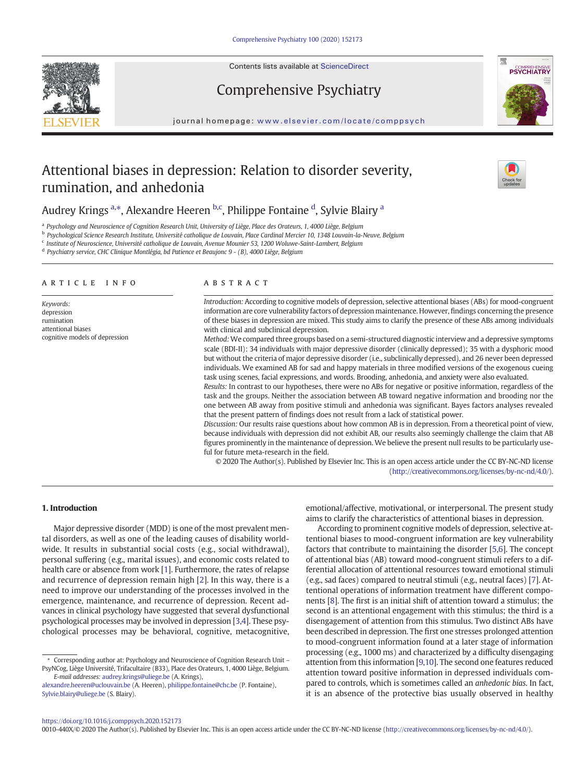

Contents lists available at ScienceDirect

# Comprehensive Psychiatry



journal homepage: <www.elsevier.com/locate/comppsych>

# Attentional biases in depression: Relation to disorder severity, rumination, and anhedonia



## Audrey Krings <sup>a,\*</sup>, Alexandre Heeren <sup>b,c</sup>, Philippe Fontaine <sup>d</sup>, Sylvie Blairy <sup>a</sup>

<sup>a</sup> Psychology and Neuroscience of Cognition Research Unit, University of Liège, Place des Orateurs, 1, 4000 Liège, Belgium

<sup>b</sup> Psychological Science Research Institute, Université catholique de Louvain, Place Cardinal Mercier 10, 1348 Louvain-la-Neuve, Belgium

<sup>c</sup> Institute of Neuroscience, Université catholique de Louvain, Avenue Mounier 53, 1200 Woluwe-Saint-Lambert, Belgium

<sup>d</sup> Psychiatry service, CHC Clinique Montlégia, bd Patience et Beaujonc 9 - (B), 4000 Liège, Belgium

#### article info abstract

Keywords: depression rumination attentional biases cognitive models of depression

Introduction: According to cognitive models of depression, selective attentional biases (ABs) for mood-congruent information are core vulnerability factors of depression maintenance. However, findings concerning the presence of these biases in depression are mixed. This study aims to clarify the presence of these ABs among individuals with clinical and subclinical depression.

Method:We compared three groups based on a semi-structured diagnostic interview and a depressive symptoms scale (BDI-II): 34 individuals with major depressive disorder (clinically depressed); 35 with a dysphoric mood but without the criteria of major depressive disorder (i.e., subclinically depressed), and 26 never been depressed individuals. We examined AB for sad and happy materials in three modified versions of the exogenous cueing task using scenes, facial expressions, and words. Brooding, anhedonia, and anxiety were also evaluated.

Results: In contrast to our hypotheses, there were no ABs for negative or positive information, regardless of the task and the groups. Neither the association between AB toward negative information and brooding nor the one between AB away from positive stimuli and anhedonia was significant. Bayes factors analyses revealed that the present pattern of findings does not result from a lack of statistical power.

Discussion: Our results raise questions about how common AB is in depression. From a theoretical point of view, because individuals with depression did not exhibit AB, our results also seemingly challenge the claim that AB figures prominently in the maintenance of depression. We believe the present null results to be particularly useful for future meta-research in the field.

© 2020 The Author(s). Published by Elsevier Inc. This is an open access article under the CC BY-NC-ND license [\(http://creativecommons.org/licenses/by-nc-nd/4.0/\)](http://creativecommons.org/licenses/by-nc-nd/4.0/).

### 1. Introduction

Major depressive disorder (MDD) is one of the most prevalent mental disorders, as well as one of the leading causes of disability worldwide. It results in substantial social costs (e.g., social withdrawal), personal suffering (e.g., marital issues), and economic costs related to health care or absence from work [\[1\]](#page-8-0). Furthermore, the rates of relapse and recurrence of depression remain high [[2](#page-8-0)]. In this way, there is a need to improve our understanding of the processes involved in the emergence, maintenance, and recurrence of depression. Recent advances in clinical psychology have suggested that several dysfunctional psychological processes may be involved in depression [\[3,4\]](#page-8-0). These psychological processes may be behavioral, cognitive, metacognitive,

⁎ Corresponding author at: Psychology and Neuroscience of Cognition Research Unit – PsyNCog, Liège Université, Trifacultaire (B33), Place des Orateurs, 1, 4000 Liège, Belgium. E-mail addresses: [audrey.krings@uliege.be](mailto:audrey.krings@uliege.be) (A. Krings),

emotional/affective, motivational, or interpersonal. The present study aims to clarify the characteristics of attentional biases in depression.

According to prominent cognitive models of depression, selective attentional biases to mood-congruent information are key vulnerability factors that contribute to maintaining the disorder [[5](#page-8-0),[6\]](#page-8-0). The concept of attentional bias (AB) toward mood-congruent stimuli refers to a differential allocation of attentional resources toward emotional stimuli (e.g., sad faces) compared to neutral stimuli (e.g., neutral faces) [\[7\]](#page-8-0). Attentional operations of information treatment have different components [\[8\]](#page-8-0). The first is an initial shift of attention toward a stimulus; the second is an attentional engagement with this stimulus; the third is a disengagement of attention from this stimulus. Two distinct ABs have been described in depression. The first one stresses prolonged attention to mood-congruent information found at a later stage of information processing (e.g., 1000 ms) and characterized by a difficulty disengaging attention from this information [\[9,10](#page-8-0)]. The second one features reduced attention toward positive information in depressed individuals compared to controls, which is sometimes called an anhedonic bias. In fact, it is an absence of the protective bias usually observed in healthy

<https://doi.org/10.1016/j.comppsych.2020.152173>

0010-440X/© 2020 The Author(s). Published by Elsevier Inc. This is an open access article under the CC BY-NC-ND license (<http://creativecommons.org/licenses/by-nc-nd/4.0/>).

[alexandre.heeren@uclouvain.be](mailto:alexandre.heeren@uclouvain.be) (A. Heeren), [philippe.fontaine@chc.be](mailto:philippe.fontaine@chc.be) (P. Fontaine), [Sylvie.blairy@uliege.be](mailto:Sylvie.blairy@uliege.be) (S. Blairy).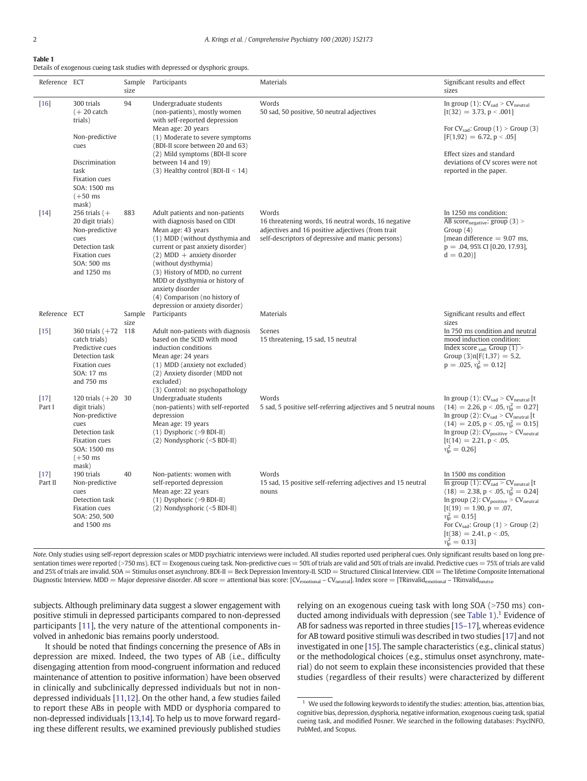#### <span id="page-1-0"></span>Table 1

Details of exogenous cueing task studies with depressed or dysphoric groups.

| Reference ECT     |                                                                                                                                                   | size           | Sample Participants                                                                                                                                                                                                                                                                                                                                                             | Materials                                                                                                                                                              | Significant results and effect<br>sizes                                                                                                                                                                                                                                                                                                         |
|-------------------|---------------------------------------------------------------------------------------------------------------------------------------------------|----------------|---------------------------------------------------------------------------------------------------------------------------------------------------------------------------------------------------------------------------------------------------------------------------------------------------------------------------------------------------------------------------------|------------------------------------------------------------------------------------------------------------------------------------------------------------------------|-------------------------------------------------------------------------------------------------------------------------------------------------------------------------------------------------------------------------------------------------------------------------------------------------------------------------------------------------|
| $[16]$            | 300 trials<br>$(+ 20 \text{ catch})$<br>trials)<br>Non-predictive<br>cues<br>Discrimination<br>task<br>Fixation cues<br>SOA: 1500 ms<br>$(+50$ ms | 94             | Undergraduate students<br>(non-patients), mostly women<br>with self-reported depression<br>Mean age: 20 years<br>(1) Moderate to severe symptoms<br>(BDI-II score between 20 and 63)<br>(2) Mild symptoms (BDI-II score<br>between 14 and 19)<br>(3) Healthy control (BDI-II $<$ 14)                                                                                            | Words<br>50 sad, 50 positive, 50 neutral adjectives                                                                                                                    | In group $(1)$ : $CV_{sad}$ > $CV_{neutral}$<br>$[t(32) = 3.73, p < .001]$<br>For $CV_{sad}$ : Group (1) > Group (3)<br>$[F(1,92) = 6.72, p < .05]$<br>Effect sizes and standard<br>deviations of CV scores were not<br>reported in the paper.                                                                                                  |
| $[14]$            | mask)<br>256 trials $(+)$<br>20 digit trials)<br>Non-predictive<br>cues<br>Detection task<br><b>Fixation</b> cues<br>SOA: 500 ms<br>and 1250 ms   | 883            | Adult patients and non-patients<br>with diagnosis based on CIDI<br>Mean age: 43 years<br>(1) MDD (without dysthymia and<br>current or past anxiety disorder)<br>$(2) MDD$ + anxiety disorder<br>(without dysthymia)<br>(3) History of MDD, no current<br>MDD or dysthymia or history of<br>anxiety disorder<br>(4) Comparison (no history of<br>depression or anxiety disorder) | Words<br>16 threatening words, 16 neutral words, 16 negative<br>adjectives and 16 positive adjectives (from trait<br>self-descriptors of depressive and manic persons) | In 1250 ms condition:<br>AB score $_{\text{negative}}$ : group (3) ><br>Group(4)<br>[mean difference $= 9.07$ ms,<br>$p = .04, 95\%$ CI [0.20, 17.93],<br>$d = 0.20$ ]                                                                                                                                                                          |
| Reference ECT     |                                                                                                                                                   | Sample<br>size | Participants                                                                                                                                                                                                                                                                                                                                                                    | Materials                                                                                                                                                              | Significant results and effect<br>sizes                                                                                                                                                                                                                                                                                                         |
| $[15]$            | 360 trials $(+72$ 118<br>catch trials)<br>Predictive cues<br>Detection task<br>Fixation cues<br>SOA: 17 ms<br>and 750 ms                          |                | Adult non-patients with diagnosis<br>based on the SCID with mood<br>induction conditions<br>Mean age: 24 years<br>(1) MDD (anxiety not excluded)<br>(2) Anxiety disorder (MDD not<br>excluded)<br>(3) Control: no psychopathology                                                                                                                                               | Scenes<br>15 threatening, 15 sad, 15 neutral                                                                                                                           | In 750 ms condition and neutral<br>mood induction condition:<br>Index score $_{sad}$ : Group (1) ><br>Group $(3)$ n[F $(1,37) = 5.2$ ,<br>$p = .025, \eta_{p}^{2} = 0.12$                                                                                                                                                                       |
| $[17]$<br>Part I  | 120 trials $(+20)$ 30<br>digit trials)<br>Non-predictive<br>cues<br>Detection task<br>Fixation cues<br>SOA: 1500 ms<br>$(+50$ ms<br>mask)         |                | Undergraduate students<br>(non-patients) with self-reported<br>depression<br>Mean age: 19 years<br>$(1)$ Dysphoric (>9 BDI-II)<br>$(2)$ Nondysphoric $(<5$ BDI-II)                                                                                                                                                                                                              | Words<br>5 sad, 5 positive self-referring adjectives and 5 neutral nouns                                                                                               | In group $(1)$ : $CVsad > CVneutral$ [t<br>$(14) = 2.26$ , p < .05, $\eta_{\rm p}^2 = 0.27$ ]<br>In group (2): $CV_{sad}$ > $CV_{neutral}$ [t<br>$(14) = 2.05$ , p < .05, $\eta_p^2 = 0.15$ ]<br>In group (2): $CV_{positive} > CV_{neutral}$<br>$[t(14) = 2.21, p < .05]$<br>$\eta_{\rm p}^2 = 0.26$                                           |
| $[17]$<br>Part II | 190 trials<br>Non-predictive<br>cues<br>Detection task<br><b>Fixation</b> cues<br>SOA: 250, 500<br>and 1500 ms                                    | 40             | Non-patients: women with<br>self-reported depression<br>Mean age: 22 years<br>$(1)$ Dysphoric (>9 BDI-II)<br>(2) Nondysphoric (<5 BDI-II)                                                                                                                                                                                                                                       | Words<br>15 sad, 15 positive self-referring adjectives and 15 neutral<br>nouns                                                                                         | In 1500 ms condition<br>$\overline{\ln$ group (1): $CV_{sad} > CV_{neutral}$ [t<br>$(18) = 2.38$ , p < .05, $\eta_{\rm p}^2 = 0.24$ ]<br>In group (2): $CV_{positive} > CV_{neutral}$<br>$[t(19) = 1.90, p = .07,$<br>$\eta_{\rm p}^2 = 0.15$<br>For $CV_{sad}$ : Group (1) > Group (2)<br>$[t(38) = 2.41, p < .05]$<br>$\eta_{\rm p}^2 = 0.13$ |

Note. Only studies using self-report depression scales or MDD psychiatric interviews were included. All studies reported used peripheral cues. Only significant results based on long presentation times were reported (>750 ms). ECT = Exogenous cueing task. Non-predictive cues = 50% of trials are valid and 50% of trials are invalid. Predictive cues = 75% of trials are valid and 25% of trials are invalid. SOA = Stimulus onset asynchrony. BDI-II = Beck Depression Inventory-II. SCID = Structured Clinical Interview. CIDI = The lifetime Composite International Diagnostic Interview. MDD = Major depressive disorder. AB score = attentional bias score: [CV<sub>emotional</sub> - CV<sub>neutral</sub>]. Index score = [TRinvalid<sub>emotional</sub> - TRinvalid<sub>neutra</sub>.

subjects. Although preliminary data suggest a slower engagement with positive stimuli in depressed participants compared to non-depressed participants [[11](#page-8-0)], the very nature of the attentional components involved in anhedonic bias remains poorly understood.

It should be noted that findings concerning the presence of ABs in depression are mixed. Indeed, the two types of AB (i.e., difficulty disengaging attention from mood-congruent information and reduced maintenance of attention to positive information) have been observed in clinically and subclinically depressed individuals but not in nondepressed individuals [\[11,12](#page-8-0)]. On the other hand, a few studies failed to report these ABs in people with MDD or dysphoria compared to non-depressed individuals [\[13,14\]](#page-8-0). To help us to move forward regarding these different results, we examined previously published studies relying on an exogenous cueing task with long SOA (>750 ms) conducted among individuals with depression (see Table 1).<sup>1</sup> Evidence of AB for sadness was reported in three studies [\[15](#page-8-0)–17], whereas evidence for AB toward positive stimuli was described in two studies [[17\]](#page-8-0) and not investigated in one [\[15](#page-8-0)]. The sample characteristics (e.g., clinical status) or the methodological choices (e.g., stimulus onset asynchrony, material) do not seem to explain these inconsistencies provided that these studies (regardless of their results) were characterized by different

 $1$  We used the following keywords to identify the studies: attention, bias, attention bias, cognitive bias, depression, dysphoria, negative information, exogenous cueing task, spatial cueing task, and modified Posner. We searched in the following databases: PsycINFO, PubMed, and Scopus.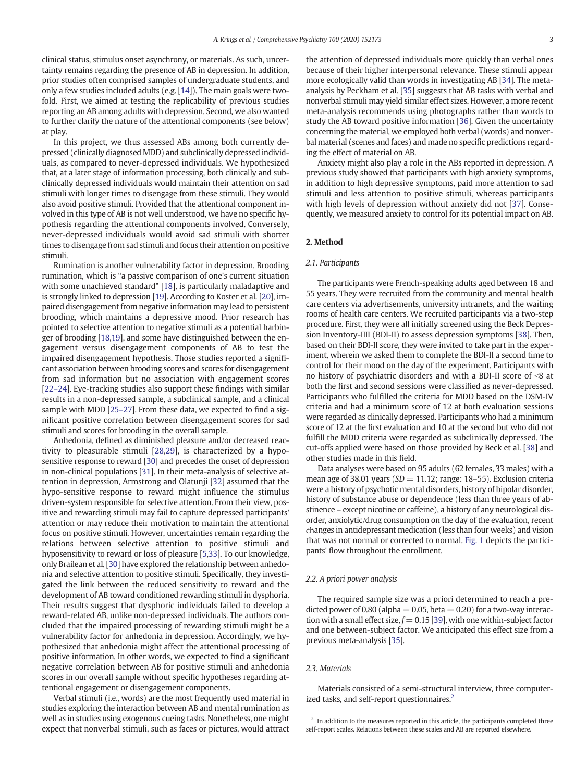clinical status, stimulus onset asynchrony, or materials. As such, uncertainty remains regarding the presence of AB in depression. In addition, prior studies often comprised samples of undergraduate students, and only a few studies included adults (e.g. [\[14](#page-8-0)]). The main goals were twofold. First, we aimed at testing the replicability of previous studies reporting an AB among adults with depression. Second, we also wanted to further clarify the nature of the attentional components (see below) at play.

In this project, we thus assessed ABs among both currently depressed (clinically diagnosed MDD) and subclinically depressed individuals, as compared to never-depressed individuals. We hypothesized that, at a later stage of information processing, both clinically and subclinically depressed individuals would maintain their attention on sad stimuli with longer times to disengage from these stimuli. They would also avoid positive stimuli. Provided that the attentional component involved in this type of AB is not well understood, we have no specific hypothesis regarding the attentional components involved. Conversely, never-depressed individuals would avoid sad stimuli with shorter times to disengage from sad stimuli and focus their attention on positive stimuli.

Rumination is another vulnerability factor in depression. Brooding rumination, which is "a passive comparison of one's current situation with some unachieved standard" [\[18](#page-8-0)], is particularly maladaptive and is strongly linked to depression [\[19](#page-8-0)]. According to Koster et al. [[20\]](#page-8-0), impaired disengagement from negative information may lead to persistent brooding, which maintains a depressive mood. Prior research has pointed to selective attention to negative stimuli as a potential harbinger of brooding [\[18,19\]](#page-8-0), and some have distinguished between the engagement versus disengagement components of AB to test the impaired disengagement hypothesis. Those studies reported a significant association between brooding scores and scores for disengagement from sad information but no association with engagement scores [\[22](#page-8-0)–24]. Eye-tracking studies also support these findings with similar results in a non-depressed sample, a subclinical sample, and a clinical sample with MDD [25–[27](#page-8-0)]. From these data, we expected to find a significant positive correlation between disengagement scores for sad stimuli and scores for brooding in the overall sample.

Anhedonia, defined as diminished pleasure and/or decreased reactivity to pleasurable stimuli [\[28,29](#page-8-0)], is characterized by a hyposensitive response to reward [[30\]](#page-8-0) and precedes the onset of depression in non-clinical populations [\[31](#page-9-0)]. In their meta-analysis of selective attention in depression, Armstrong and Olatunji [\[32](#page-9-0)] assumed that the hypo-sensitive response to reward might influence the stimulus driven-system responsible for selective attention. From their view, positive and rewarding stimuli may fail to capture depressed participants' attention or may reduce their motivation to maintain the attentional focus on positive stimuli. However, uncertainties remain regarding the relations between selective attention to positive stimuli and hyposensitivity to reward or loss of pleasure [\[5,](#page-8-0)[33\]](#page-9-0). To our knowledge, only Brailean et al. [\[30](#page-8-0)] have explored the relationship between anhedonia and selective attention to positive stimuli. Specifically, they investigated the link between the reduced sensitivity to reward and the development of AB toward conditioned rewarding stimuli in dysphoria. Their results suggest that dysphoric individuals failed to develop a reward-related AB, unlike non-depressed individuals. The authors concluded that the impaired processing of rewarding stimuli might be a vulnerability factor for anhedonia in depression. Accordingly, we hypothesized that anhedonia might affect the attentional processing of positive information. In other words, we expected to find a significant negative correlation between AB for positive stimuli and anhedonia scores in our overall sample without specific hypotheses regarding attentional engagement or disengagement components.

Verbal stimuli (i.e., words) are the most frequently used material in studies exploring the interaction between AB and mental rumination as well as in studies using exogenous cueing tasks. Nonetheless, one might expect that nonverbal stimuli, such as faces or pictures, would attract

the attention of depressed individuals more quickly than verbal ones because of their higher interpersonal relevance. These stimuli appear more ecologically valid than words in investigating AB [\[34](#page-9-0)]. The metaanalysis by Peckham et al. [\[35](#page-9-0)] suggests that AB tasks with verbal and nonverbal stimuli may yield similar effect sizes. However, a more recent meta-analysis recommends using photographs rather than words to study the AB toward positive information [\[36](#page-9-0)]. Given the uncertainty concerning the material, we employed both verbal (words) and nonverbal material (scenes and faces) and made no specific predictions regarding the effect of material on AB.

Anxiety might also play a role in the ABs reported in depression. A previous study showed that participants with high anxiety symptoms, in addition to high depressive symptoms, paid more attention to sad stimuli and less attention to positive stimuli, whereas participants with high levels of depression without anxiety did not [[37](#page-9-0)]. Consequently, we measured anxiety to control for its potential impact on AB.

#### 2. Method

#### 2.1. Participants

The participants were French-speaking adults aged between 18 and 55 years. They were recruited from the community and mental health care centers via advertisements, university intranets, and the waiting rooms of health care centers. We recruited participants via a two-step procedure. First, they were all initially screened using the Beck Depression Inventory-IIII (BDI-II) to assess depression symptoms [[38\]](#page-9-0). Then, based on their BDI-II score, they were invited to take part in the experiment, wherein we asked them to complete the BDI-II a second time to control for their mood on the day of the experiment. Participants with no history of psychiatric disorders and with a BDI-II score of  $\leq 8$  at both the first and second sessions were classified as never-depressed. Participants who fulfilled the criteria for MDD based on the DSM-IV criteria and had a minimum score of 12 at both evaluation sessions were regarded as clinically depressed. Participants who had a minimum score of 12 at the first evaluation and 10 at the second but who did not fulfill the MDD criteria were regarded as subclinically depressed. The cut-offs applied were based on those provided by Beck et al. [[38\]](#page-9-0) and other studies made in this field.

Data analyses were based on 95 adults (62 females, 33 males) with a mean age of 38.01 years ( $SD = 11.12$ ; range: 18–55). Exclusion criteria were a history of psychotic mental disorders, history of bipolar disorder, history of substance abuse or dependence (less than three years of abstinence – except nicotine or caffeine), a history of any neurological disorder, anxiolytic/drug consumption on the day of the evaluation, recent changes in antidepressant medication (less than four weeks) and vision that was not normal or corrected to normal. [Fig. 1](#page-3-0) depicts the participants' flow throughout the enrollment.

#### 2.2. A priori power analysis

The required sample size was a priori determined to reach a predicted power of 0.80 (alpha  $= 0.05$ , beta  $= 0.20$ ) for a two-way interaction with a small effect size,  $f = 0.15$  [\[39](#page-9-0)], with one within-subject factor and one between-subject factor. We anticipated this effect size from a previous meta-analysis [\[35](#page-9-0)].

#### 2.3. Materials

Materials consisted of a semi-structural interview, three computerized tasks, and self-report questionnaires. $<sup>2</sup>$ </sup>

 $2$  In addition to the measures reported in this article, the participants completed three self-report scales. Relations between these scales and AB are reported elsewhere.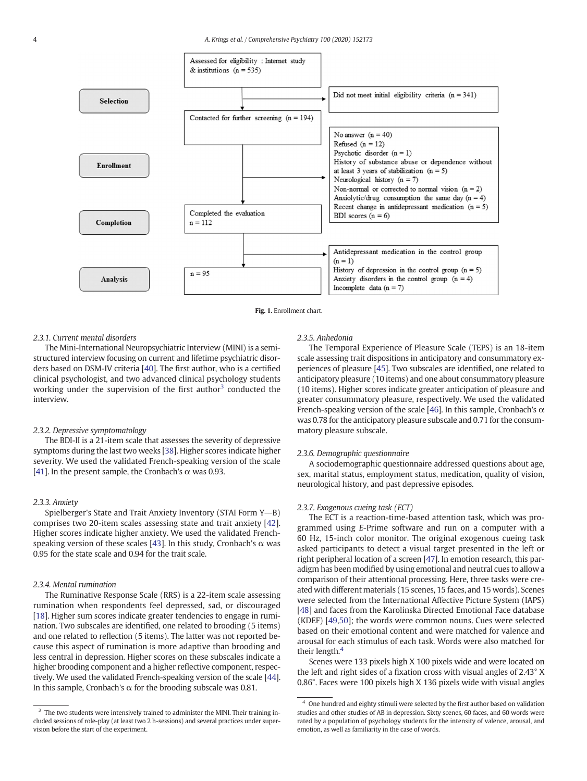<span id="page-3-0"></span>



#### 2.3.1. Current mental disorders

The Mini-International Neuropsychiatric Interview (MINI) is a semistructured interview focusing on current and lifetime psychiatric disorders based on DSM-IV criteria [[40\]](#page-9-0). The first author, who is a certified clinical psychologist, and two advanced clinical psychology students working under the supervision of the first author<sup>3</sup> conducted the interview.

#### 2.3.2. Depressive symptomatology

The BDI-II is a 21-item scale that assesses the severity of depressive symptoms during the last two weeks [\[38](#page-9-0)]. Higher scores indicate higher severity. We used the validated French-speaking version of the scale [\[41](#page-9-0)]. In the present sample, the Cronbach's  $\alpha$  was 0.93.

#### 2.3.3. Anxiety

Spielberger's State and Trait Anxiety Inventory (STAI Form  $Y\rightarrow B$ ) comprises two 20-item scales assessing state and trait anxiety [[42](#page-9-0)]. Higher scores indicate higher anxiety. We used the validated French-speaking version of these scales [[43\]](#page-9-0). In this study, Cronbach's  $\alpha$  was 0.95 for the state scale and 0.94 for the trait scale.

#### 2.3.4. Mental rumination

The Ruminative Response Scale (RRS) is a 22-item scale assessing rumination when respondents feel depressed, sad, or discouraged [\[18](#page-8-0)]. Higher sum scores indicate greater tendencies to engage in rumination. Two subscales are identified, one related to brooding (5 items) and one related to reflection (5 items). The latter was not reported because this aspect of rumination is more adaptive than brooding and less central in depression. Higher scores on these subscales indicate a higher brooding component and a higher reflective component, respectively. We used the validated French-speaking version of the scale [\[44](#page-9-0)]. In this sample, Cronbach's  $\alpha$  for the brooding subscale was 0.81.

#### 2.3.5. Anhedonia

The Temporal Experience of Pleasure Scale (TEPS) is an 18-item scale assessing trait dispositions in anticipatory and consummatory experiences of pleasure [\[45](#page-9-0)]. Two subscales are identified, one related to anticipatory pleasure (10 items) and one about consummatory pleasure (10 items). Higher scores indicate greater anticipation of pleasure and greater consummatory pleasure, respectively. We used the validated French-speaking version of the scale [\[46](#page-9-0)]. In this sample, Cronbach's  $\alpha$ was 0.78 for the anticipatory pleasure subscale and 0.71 for the consummatory pleasure subscale.

#### 2.3.6. Demographic questionnaire

A sociodemographic questionnaire addressed questions about age, sex, marital status, employment status, medication, quality of vision, neurological history, and past depressive episodes.

#### 2.3.7. Exogenous cueing task (ECT)

The ECT is a reaction-time-based attention task, which was programmed using E-Prime software and run on a computer with a 60 Hz, 15-inch color monitor. The original exogenous cueing task asked participants to detect a visual target presented in the left or right peripheral location of a screen [[47](#page-9-0)]. In emotion research, this paradigm has been modified by using emotional and neutral cues to allow a comparison of their attentional processing. Here, three tasks were created with different materials (15 scenes, 15 faces, and 15 words). Scenes were selected from the International Affective Picture System (IAPS) [[48\]](#page-9-0) and faces from the Karolinska Directed Emotional Face database (KDEF) [\[49,50\]](#page-9-0); the words were common nouns. Cues were selected based on their emotional content and were matched for valence and arousal for each stimulus of each task. Words were also matched for their length.<sup>4</sup>

Scenes were 133 pixels high X 100 pixels wide and were located on the left and right sides of a fixation cross with visual angles of 2.43° X 0.86°. Faces were 100 pixels high X 136 pixels wide with visual angles

 $3$  The two students were intensively trained to administer the MINI. Their training included sessions of role-play (at least two 2 h-sessions) and several practices under supervision before the start of the experiment.

<sup>&</sup>lt;sup>4</sup> One hundred and eighty stimuli were selected by the first author based on validation studies and other studies of AB in depression. Sixty scenes, 60 faces, and 60 words were rated by a population of psychology students for the intensity of valence, arousal, and emotion, as well as familiarity in the case of words.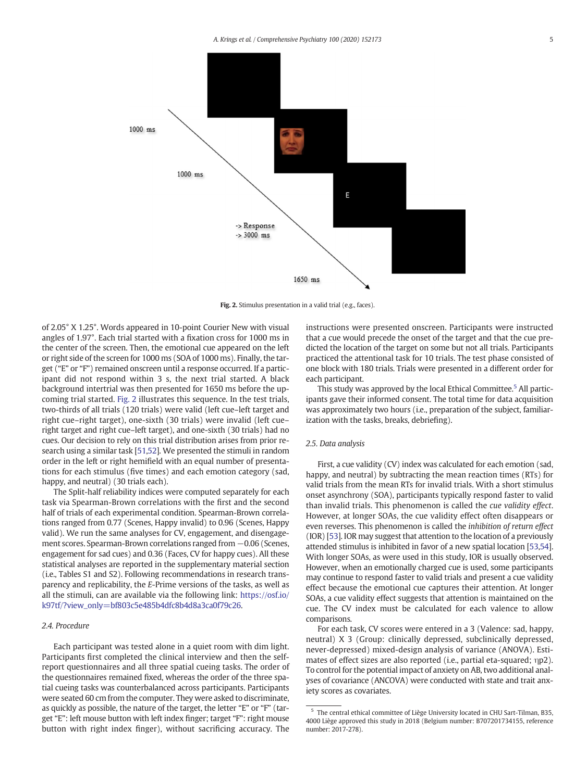

Fig. 2. Stimulus presentation in a valid trial (e.g., faces).

of 2.05° X 1.25°. Words appeared in 10-point Courier New with visual angles of 1.97°. Each trial started with a fixation cross for 1000 ms in the center of the screen. Then, the emotional cue appeared on the left or right side of the screen for 1000 ms (SOA of 1000 ms). Finally, the target ("E" or "F") remained onscreen until a response occurred. If a participant did not respond within 3 s, the next trial started. A black background intertrial was then presented for 1650 ms before the upcoming trial started. Fig. 2 illustrates this sequence. In the test trials, two-thirds of all trials (120 trials) were valid (left cue–left target and right cue–right target), one-sixth (30 trials) were invalid (left cue– right target and right cue–left target), and one-sixth (30 trials) had no cues. Our decision to rely on this trial distribution arises from prior research using a similar task [\[51,52\]](#page-9-0). We presented the stimuli in random order in the left or right hemifield with an equal number of presentations for each stimulus (five times) and each emotion category (sad, happy, and neutral) (30 trials each).

The Split-half reliability indices were computed separately for each task via Spearman-Brown correlations with the first and the second half of trials of each experimental condition. Spearman-Brown correlations ranged from 0.77 (Scenes, Happy invalid) to 0.96 (Scenes, Happy valid). We run the same analyses for CV, engagement, and disengagement scores. Spearman-Brown correlations ranged from -0.06 (Scenes, engagement for sad cues) and 0.36 (Faces, CV for happy cues). All these statistical analyses are reported in the supplementary material section (i.e., Tables S1 and S2). Following recommendations in research transparency and replicability, the E-Prime versions of the tasks, as well as all the stimuli, can are available via the following link: [https://osf.io/](https://osf.io/k97tf/?view_only=bf803c5e485b4dfc8b4d8a3ca0f79c26) [k97tf/?view\\_only=bf803c5e485b4dfc8b4d8a3ca0f79c26](https://osf.io/k97tf/?view_only=bf803c5e485b4dfc8b4d8a3ca0f79c26).

#### 2.4. Procedure

Each participant was tested alone in a quiet room with dim light. Participants first completed the clinical interview and then the selfreport questionnaires and all three spatial cueing tasks. The order of the questionnaires remained fixed, whereas the order of the three spatial cueing tasks was counterbalanced across participants. Participants were seated 60 cm from the computer. They were asked to discriminate, as quickly as possible, the nature of the target, the letter "E" or "F" (target "E": left mouse button with left index finger; target "F": right mouse button with right index finger), without sacrificing accuracy. The

instructions were presented onscreen. Participants were instructed that a cue would precede the onset of the target and that the cue predicted the location of the target on some but not all trials. Participants practiced the attentional task for 10 trials. The test phase consisted of one block with 180 trials. Trials were presented in a different order for each participant.

This study was approved by the local Ethical Committee.<sup>5</sup> All participants gave their informed consent. The total time for data acquisition was approximately two hours (i.e., preparation of the subject, familiarization with the tasks, breaks, debriefing).

#### 2.5. Data analysis

First, a cue validity (CV) index was calculated for each emotion (sad, happy, and neutral) by subtracting the mean reaction times (RTs) for valid trials from the mean RTs for invalid trials. With a short stimulus onset asynchrony (SOA), participants typically respond faster to valid than invalid trials. This phenomenon is called the cue validity effect. However, at longer SOAs, the cue validity effect often disappears or even reverses. This phenomenon is called the inhibition of return effect (IOR) [\[53](#page-9-0)]. IOR may suggest that attention to the location of a previously attended stimulus is inhibited in favor of a new spatial location [\[53,54](#page-9-0)]. With longer SOAs, as were used in this study, IOR is usually observed. However, when an emotionally charged cue is used, some participants may continue to respond faster to valid trials and present a cue validity effect because the emotional cue captures their attention. At longer SOAs, a cue validity effect suggests that attention is maintained on the cue. The CV index must be calculated for each valence to allow comparisons.

For each task, CV scores were entered in a 3 (Valence: sad, happy, neutral) X 3 (Group: clinically depressed, subclinically depressed, never-depressed) mixed-design analysis of variance (ANOVA). Estimates of effect sizes are also reported (i.e., partial eta-squared; ηp2). To control for the potential impact of anxiety on AB, two additional analyses of covariance (ANCOVA) were conducted with state and trait anxiety scores as covariates.

<sup>5</sup> The central ethical committee of Liège University located in CHU Sart-Tilman, B35, 4000 Liège approved this study in 2018 (Belgium number: B707201734155, reference number: 2017-278).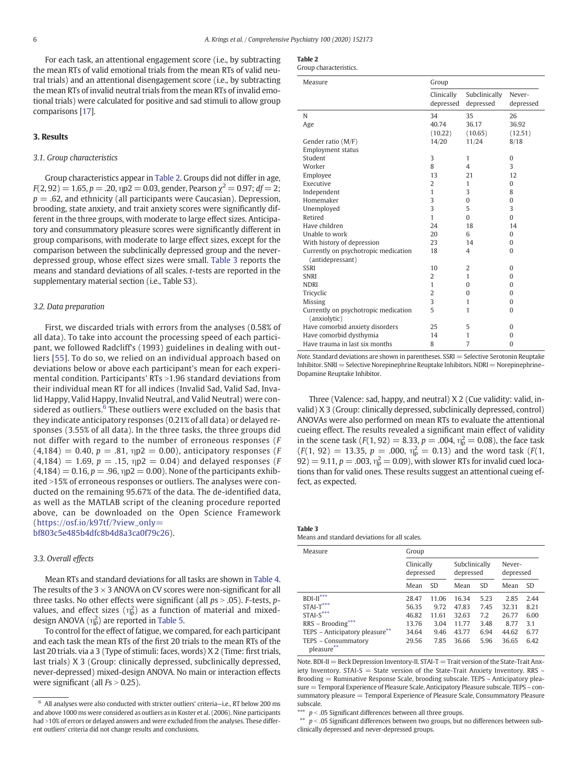For each task, an attentional engagement score (i.e., by subtracting the mean RTs of valid emotional trials from the mean RTs of valid neutral trials) and an attentional disengagement score (i.e., by subtracting the mean RTs of invalid neutral trials from the mean RTs of invalid emotional trials) were calculated for positive and sad stimuli to allow group comparisons [[17](#page-8-0)].

#### 3. Results

#### 3.1. Group characteristics

Group characteristics appear in Table 2. Groups did not differ in age,  $F(2, 92) = 1.65$ ,  $p = .20$ ,  $np2 = 0.03$ , gender, Pearson  $\chi^2 = 0.97$ ;  $df = 2$ ;  $p = 0.62$ , and ethnicity (all participants were Caucasian). Depression, brooding, state anxiety, and trait anxiety scores were significantly different in the three groups, with moderate to large effect sizes. Anticipatory and consummatory pleasure scores were significantly different in group comparisons, with moderate to large effect sizes, except for the comparison between the subclinically depressed group and the neverdepressed group, whose effect sizes were small. Table 3 reports the means and standard deviations of all scales. t-tests are reported in the supplementary material section (i.e., Table S3).

#### 3.2. Data preparation

First, we discarded trials with errors from the analyses (0.58% of all data). To take into account the processing speed of each participant, we followed Radcliff's (1993) guidelines in dealing with outliers [[55](#page-9-0)]. To do so, we relied on an individual approach based on deviations below or above each participant's mean for each experimental condition. Participants' RTs  $>1.96$  standard deviations from their individual mean RT for all indices (Invalid Sad, Valid Sad, Invalid Happy, Valid Happy, Invalid Neutral, and Valid Neutral) were considered as outliers.<sup>6</sup> These outliers were excluded on the basis that they indicate anticipatory responses (0.21% of all data) or delayed responses (3.55% of all data). In the three tasks, the three groups did not differ with regard to the number of erroneous responses (F  $(4,184) = 0.40, p = .81, \eta p2 = 0.00$ , anticipatory responses (F)  $(4,184) = 1.69, p = .15, \eta p2 = 0.04$  and delayed responses (F)  $(4,184) = 0.16, p = .96, \eta p2 = 0.00$ . None of the participants exhibited >15% of erroneous responses or outliers. The analyses were conducted on the remaining 95.67% of the data. The de-identified data, as well as the MATLAB script of the cleaning procedure reported above, can be downloaded on the Open Science Framework ([https://osf.io/k97tf/?view\\_only=](https://osf.io/k97tf/?view_only=bf803c5e485b4dfc8b4d8a3ca0f79c26) [bf803c5e485b4dfc8b4d8a3ca0f79c26\)](https://osf.io/k97tf/?view_only=bf803c5e485b4dfc8b4d8a3ca0f79c26).

#### 3.3. Overall effects

Mean RTs and standard deviations for all tasks are shown in [Table 4.](#page-6-0) The results of the  $3 \times 3$  ANOVA on CV scores were non-significant for all three tasks. No other effects were significant (all  $ps > .05$ ). F-tests, pvalues, and effect sizes  $(\eta_p^2)$  as a function of material and mixeddesign ANOVA  $(\eta_{\rm p}^2)$  are reported in [Table 5.](#page-6-0)

To control for the effect of fatigue, we compared, for each participant and each task the mean RTs of the first 20 trials to the mean RTs of the last 20 trials. via a 3 (Type of stimuli: faces, words) X 2 (Time: first trials, last trials) X 3 (Group: clinically depressed, subclinically depressed, never-depressed) mixed-design ANOVA. No main or interaction effects were significant (all  $Fs > 0.25$ ).

| <b>Table 2</b> |                |
|----------------|----------------|
|                | 'soun characto |

| Group characteristics. |
|------------------------|
|                        |

| Measure                                                  | Group                   |                            |                     |  |
|----------------------------------------------------------|-------------------------|----------------------------|---------------------|--|
|                                                          | Clinically<br>depressed | Subclinically<br>depressed | Never-<br>depressed |  |
| N                                                        | 34                      | 35                         | 26                  |  |
| Age                                                      | 40.74                   | 36.17                      | 36.92               |  |
|                                                          | (10.22)                 | (10.65)                    | (12.51)             |  |
| Gender ratio (M/F)                                       | 14/20                   | 11/24                      | 8/18                |  |
| Employment status                                        |                         |                            |                     |  |
| Student                                                  | 3                       | 1                          | $\mathbf{0}$        |  |
| Worker                                                   | 8                       | $\overline{4}$             | 3                   |  |
| Employee                                                 | 13                      | 21                         | 12                  |  |
| Executive                                                | $\overline{2}$          | 1                          | $\Omega$            |  |
| Independent                                              | 1                       | 3                          | 8                   |  |
| Homemaker                                                | 3                       | $\Omega$                   | $\Omega$            |  |
| Unemployed                                               | 3                       | 5                          | 3                   |  |
| Retired                                                  | 1                       | $\Omega$                   | $\Omega$            |  |
| Have children                                            | 24                      | 18                         | 14                  |  |
| Unable to work                                           | 20                      | 6                          | $\mathbf{0}$        |  |
| With history of depression                               | 23                      | 14                         | $\mathbf{0}$        |  |
| Currently on psychotropic medication<br>(antidepressant) | 18                      | $\overline{4}$             | $\Omega$            |  |
| <b>SSRI</b>                                              | 10                      | $\overline{2}$             | $\Omega$            |  |
| <b>SNRI</b>                                              | 2                       | 1                          | $\Omega$            |  |
| <b>NDRI</b>                                              | 1                       | $\Omega$                   | $\Omega$            |  |
| Tricyclic                                                | $\overline{2}$          | $\Omega$                   | $\Omega$            |  |
| Missing                                                  | 3                       | 1                          | $\Omega$            |  |
| Currently on psychotropic medication<br>(anxiolytic)     | 5                       | 1                          | $\Omega$            |  |
| Have comorbid anxiety disorders                          | 25                      | 5                          | 0                   |  |
| Have comorbid dysthymia                                  | 14                      | 1                          | $\Omega$            |  |
| Have trauma in last six months                           | 8                       | $\overline{7}$             | $\Omega$            |  |

Note. Standard deviations are shown in parentheses.  $SSRI =$  Selective Serotonin Reuptake  $Inhibitor. SNRI = Selective Norepinephrine Reuptake Inhibitors. NDRI = Norepinephrine-$ Dopamine Reuptake Inhibitor.

Three (Valence: sad, happy, and neutral) X 2 (Cue validity: valid, invalid) X 3 (Group: clinically depressed, subclinically depressed, control) ANOVAs were also performed on mean RTs to evaluate the attentional cueing effect. The results revealed a significant main effect of validity in the scene task ( $F(1, 92) = 8.33$ ,  $p = .004$ ,  $\eta_{\rm p}^2 = 0.08$ ), the face task  $(F(1, 92) = 13.35, p = .000, \eta_{p}^{2} = 0.13)$  and the word task  $(F(1, 92))$ 92) = 9.11,  $p = .003$ ,  $\eta_{\rm p}^2 = 0.09$ ), with slower RTs for invalid cued locations than for valid ones. These results suggest an attentional cueing effect, as expected.

Table 3 Means and standard deviations for all scales.

| Measure                                      | Group                   |           |                            |           |                     |           |  |  |  |
|----------------------------------------------|-------------------------|-----------|----------------------------|-----------|---------------------|-----------|--|--|--|
|                                              | Clinically<br>depressed |           | Subclinically<br>depressed |           | Never-<br>depressed |           |  |  |  |
|                                              | Mean                    | <b>SD</b> | Mean                       | <b>SD</b> | Mean                | <b>SD</b> |  |  |  |
| $BDI-II***$                                  | 28.47                   | 11.06     | 16.34                      | 5.23      | 2.85                | 2.44      |  |  |  |
| $STAT***$                                    | 56.35                   | 9.72      | 47.83                      | 7.45      | 32.31               | 8.21      |  |  |  |
| $STAI-S***$                                  | 46.82                   | 11.61     | 32.63                      | 7.2       | 26.77               | 6.00      |  |  |  |
| RRS - Brooding***                            | 13.76                   | 3.04      | 11.77                      | 3.48      | 8.77                | 3.1       |  |  |  |
| TEPS - Anticipatory pleasure**               | 34.64                   | 9.46      | 43.77                      | 6.94      | 44.62               | 6.77      |  |  |  |
| TEPS - Consummatory<br>pleasure <sup>'</sup> | 29.56                   | 7.85      | 36.66                      | 5.96      | 36.65               | 6.42      |  |  |  |

Note. BDI-II = Beck Depression Inventory-II. STAI-T = Trait version of the State-Trait Anxiety Inventory. STAI-S  $=$  State version of the State-Trait Anxiety Inventory. RRS  $-$ Brooding = Ruminative Response Scale, brooding subscale. TEPS – Anticipatory pleasure = Temporal Experience of Pleasure Scale, Anticipatory Pleasure subscale. TEPS – consummatory pleasure = Temporal Experience of Pleasure Scale, Consummatory Pleasure subscale.

 $^{\rm 6}$  All analyses were also conducted with stricter outliers' criteria-i.e., RT below 200 ms and above 1000 ms were considered as outliers as in Koster et al. (2006). Nine participants had >10% of errors or delayed answers and were excluded from the analyses. These different outliers' criteria did not change results and conclusions.

**<sup>\*\*\*</sup>**  $p < .05$  Significant differences between all three groups.

 $*$   $p$  < .05 Significant differences between two groups, but no differences between subclinically depressed and never-depressed groups.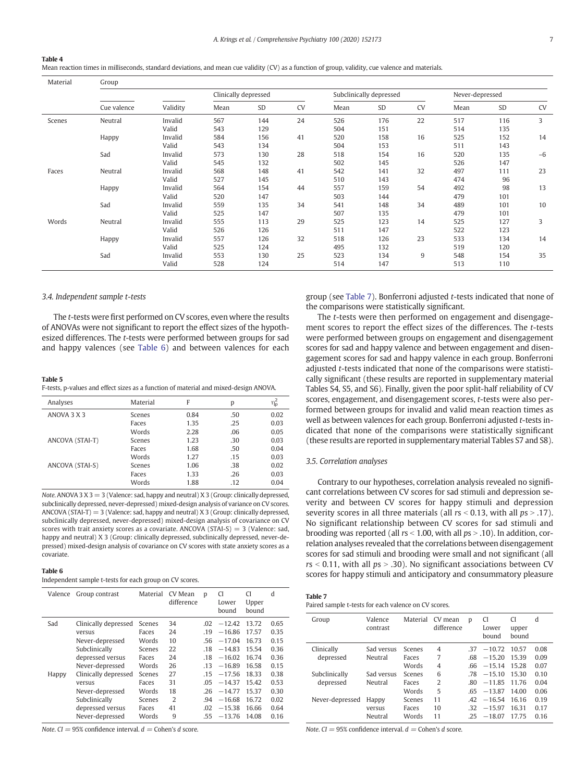#### <span id="page-6-0"></span>Table 4

Mean reaction times in milliseconds, standard deviations, and mean cue validity (CV) as a function of group, validity, cue valence and materials.

| Material | Group       |          |                      |     |           |      |                                            |           |      |               |           |  |  |  |  |  |
|----------|-------------|----------|----------------------|-----|-----------|------|--------------------------------------------|-----------|------|---------------|-----------|--|--|--|--|--|
|          |             |          | Clinically depressed |     |           |      | Subclinically depressed<br>Never-depressed |           |      |               |           |  |  |  |  |  |
|          | Cue valence | Validity | Mean                 | SD  | <b>CV</b> | Mean | SD                                         | <b>CV</b> | Mean | $\mathsf{SD}$ | <b>CV</b> |  |  |  |  |  |
| Scenes   | Neutral     | Invalid  | 567                  | 144 | 24        | 526  | 176                                        | 22        | 517  | 116           | 3         |  |  |  |  |  |
|          |             | Valid    | 543                  | 129 |           | 504  | 151                                        |           | 514  | 135           |           |  |  |  |  |  |
|          | Happy       | Invalid  | 584                  | 156 | 41        | 520  | 158                                        | 16        | 525  | 152           | 14        |  |  |  |  |  |
|          |             | Valid    | 543                  | 134 |           | 504  | 153                                        |           | 511  | 143           |           |  |  |  |  |  |
|          | Sad         | Invalid  | 573                  | 130 | 28        | 518  | 154                                        | 16        | 520  | 135           | $-6$      |  |  |  |  |  |
|          |             | Valid    | 545                  | 132 |           | 502  | 145                                        |           | 526  | 147           |           |  |  |  |  |  |
| Faces    | Neutral     | Invalid  | 568                  | 148 | 41        | 542  | 141                                        | 32        | 497  | 111           | 23        |  |  |  |  |  |
|          |             | Valid    | 527                  | 145 |           | 510  | 143                                        |           | 474  | 96            |           |  |  |  |  |  |
|          | Happy       | Invalid  | 564                  | 154 | 44        | 557  | 159                                        | 54        | 492  | 98            | 13        |  |  |  |  |  |
|          |             | Valid    | 520                  | 147 |           | 503  | 144                                        |           | 479  | 101           |           |  |  |  |  |  |
|          | Sad         | Invalid  | 559                  | 135 | 34        | 541  | 148                                        | 34        | 489  | 101           | 10        |  |  |  |  |  |
|          |             | Valid    | 525                  | 147 |           | 507  | 135                                        |           | 479  | 101           |           |  |  |  |  |  |
| Words    | Neutral     | Invalid  | 555                  | 113 | 29        | 525  | 123                                        | 14        | 525  | 127           | 3         |  |  |  |  |  |
|          |             | Valid    | 526                  | 126 |           | 511  | 147                                        |           | 522  | 123           |           |  |  |  |  |  |
|          | Happy       | Invalid  | 557                  | 126 | 32        | 518  | 126                                        | 23        | 533  | 134           | 14        |  |  |  |  |  |
|          |             | Valid    | 525                  | 124 |           | 495  | 132                                        |           | 519  | 120           |           |  |  |  |  |  |
|          | Sad         | Invalid  | 553                  | 130 | 25        | 523  | 134                                        | 9         | 548  | 154           | 35        |  |  |  |  |  |
|          |             | Valid    | 528                  | 124 |           | 514  | 147                                        |           | 513  | 110           |           |  |  |  |  |  |

#### 3.4. Independent sample t-tests

The t-tests were first performed on CV scores, even where the results of ANOVAs were not significant to report the effect sizes of the hypothesized differences. The t-tests were performed between groups for sad and happy valences (see Table 6) and between valences for each

#### Table 5

F-tests, p-values and effect sizes as a function of material and mixed-design ANOVA.

| Analyses        | Material | F    | р   | ηź   |
|-----------------|----------|------|-----|------|
| ANOVA 3 X 3     | Scenes   | 0.84 | .50 | 0.02 |
|                 | Faces    | 1.35 | .25 | 0.03 |
|                 | Words    | 2.28 | .06 | 0.05 |
| ANCOVA (STAI-T) | Scenes   | 1.23 | .30 | 0.03 |
|                 | Faces    | 1.68 | .50 | 0.04 |
|                 | Words    | 1.27 | .15 | 0.03 |
| ANCOVA (STAI-S) | Scenes   | 1.06 | .38 | 0.02 |
|                 | Faces    | 1.33 | .26 | 0.03 |
|                 | Words    | 1.88 | .12 | 0.04 |

Note. ANOVA 3  $X$  3 = 3 (Valence: sad, happy and neutral)  $X$  3 (Group: clinically depressed, subclinically depressed, never-depressed) mixed-design analysis of variance on CV scores. ANCOVA (STAI-T) = 3 (Valence: sad, happy and neutral) X 3 (Group: clinically depressed, subclinically depressed, never-depressed) mixed-design analysis of covariance on CV scores with trait anxiety scores as a covariate. ANCOVA  $(STAI-S) = 3$  (Valence: sad, happy and neutral) X 3 (Group: clinically depressed, subclinically depressed, never-depressed) mixed-design analysis of covariance on CV scores with state anxiety scores as a covariate.

#### Table 6

Independent sample t-tests for each group on CV scores.

| Valence | Group contrast       | Material | CV Mean<br>difference | p   | CI<br>Lower<br>bound | <b>CI</b><br>Upper<br>bound | d    |
|---------|----------------------|----------|-----------------------|-----|----------------------|-----------------------------|------|
| Sad     | Clinically depressed | Scenes   | 34                    | .02 | $-12.42$             | 13.72                       | 0.65 |
|         | versus               | Faces    | 24                    | .19 | $-16.86$             | 17.57                       | 0.35 |
|         | Never-depressed      | Words    | 10                    | .56 | $-17.04$             | 16.73                       | 0.15 |
|         | Subclinically        | Scenes   | 22                    | .18 | $-14.83$             | 15.54                       | 0.36 |
|         | depressed versus     | Faces    | 24                    | .18 | $-16.02$             | 16.74                       | 0.36 |
|         | Never-depressed      | Words    | 26                    | .13 | $-16.89$             | 16.58                       | 0.15 |
| Happy   | Clinically depressed | Scenes   | 27                    | .15 | $-17.56$             | 18.33                       | 0.38 |
|         | versus               | Faces    | 31                    | .05 | $-14.37$             | 15.42                       | 0.53 |
|         | Never-depressed      | Words    | 18                    | .26 | $-14.77$             | 15.37                       | 0.30 |
|         | Subclinically        | Scenes   | $\overline{2}$        | .94 | $-16.68$             | 16.72                       | 0.02 |
|         | depressed versus     | Faces    | 41                    | .02 | $-15.38$             | 16.66                       | 0.64 |
|         | Never-depressed      | Words    | 9                     | .55 | $-13.76$             | 14.08                       | 0.16 |

Note. CI = 95% confidence interval.  $d$  = Cohen's d score.

group (see Table 7). Bonferroni adjusted t-tests indicated that none of the comparisons were statistically significant.

The t-tests were then performed on engagement and disengagement scores to report the effect sizes of the differences. The t-tests were performed between groups on engagement and disengagement scores for sad and happy valence and between engagement and disengagement scores for sad and happy valence in each group. Bonferroni adjusted t-tests indicated that none of the comparisons were statistically significant (these results are reported in supplementary material Tables S4, S5, and S6). Finally, given the poor split-half reliability of CV scores, engagement, and disengagement scores, t-tests were also performed between groups for invalid and valid mean reaction times as well as between valences for each group. Bonferroni adjusted t-tests indicated that none of the comparisons were statistically significant (these results are reported in supplementary material Tables S7 and S8).

#### 3.5. Correlation analyses

Contrary to our hypotheses, correlation analysis revealed no significant correlations between CV scores for sad stimuli and depression severity and between CV scores for happy stimuli and depression severity scores in all three materials (all  $rs < 0.13$ , with all  $ps > .17$ ). No significant relationship between CV scores for sad stimuli and brooding was reported (all  $rs < 1.00$ , with all  $ps > .10$ ). In addition, correlation analyses revealed that the correlations between disengagement scores for sad stimuli and brooding were small and not significant (all  $rs < 0.11$ , with all  $ps > .30$ ). No significant associations between CV scores for happy stimuli and anticipatory and consummatory pleasure

| Table 7                                              |  |
|------------------------------------------------------|--|
| Paired sample t-tests for each valence on CV scores. |  |

| Group           | Valence<br>contrast | Material | CV mean<br>difference | D   | <b>CI</b><br>Lower<br>bound | CI<br>upper<br>bound | d    |
|-----------------|---------------------|----------|-----------------------|-----|-----------------------------|----------------------|------|
| Clinically      | Sad versus          | Scenes   | $\overline{4}$        | .37 | $-10.72$                    | 10.57                | 0.08 |
| depressed       | Neutral             | Faces    | 7                     | .68 | $-15.20$                    | 15.39                | 0.09 |
|                 |                     | Words    | 4                     | .66 | $-15.14$                    | 15.28                | 0.07 |
| Subclinically   | Sad versus          | Scenes   | 6                     | .78 | $-15.10$                    | 15.30                | 0.10 |
| depressed       | Neutral             | Faces    | 2                     | .80 | $-11.85$                    | 11.76                | 0.04 |
|                 |                     | Words    | 5                     | .65 | $-13.87$                    | 14.00                | 0.06 |
| Never-depressed | Happy               | Scenes   | 11                    | .42 | $-16.54$                    | 16.16                | 0.19 |
|                 | versus              | Faces    | 10                    | .32 | $-15.97$                    | 16.31                | 0.17 |
|                 | Neutral             | Words    | 11                    | 25  | $-18.07$                    | 1775                 | 0.16 |

Note.  $CI = 95\%$  confidence interval.  $d =$  Cohen's d score.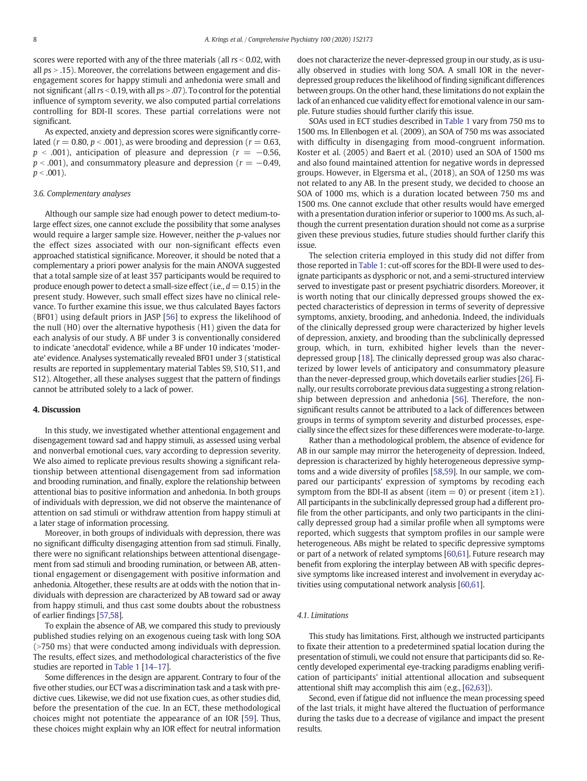scores were reported with any of the three materials (all  $rs < 0.02$ , with all  $ps > .15$ ). Moreover, the correlations between engagement and disengagement scores for happy stimuli and anhedonia were small and not significant (all  $rs < 0.19$ , with all  $ps > .07$ ). To control for the potential influence of symptom severity, we also computed partial correlations controlling for BDI-II scores. These partial correlations were not significant.

As expected, anxiety and depression scores were significantly correlated ( $r = 0.80$ ,  $p < .001$ ), as were brooding and depression ( $r = 0.63$ ,  $p < .001$ ), anticipation of pleasure and depression ( $r = -0.56$ ,  $p < .001$ ), and consummatory pleasure and depression ( $r = -0.49$ ,  $p < .001$ ).

#### 3.6. Complementary analyses

Although our sample size had enough power to detect medium-tolarge effect sizes, one cannot exclude the possibility that some analyses would require a larger sample size. However, neither the p-values nor the effect sizes associated with our non-significant effects even approached statistical significance. Moreover, it should be noted that a complementary a priori power analysis for the main ANOVA suggested that a total sample size of at least 357 participants would be required to produce enough power to detect a small-size effect (i.e.,  $d = 0.15$ ) in the present study. However, such small effect sizes have no clinical relevance. To further examine this issue, we thus calculated Bayes factors (BF01) using default priors in JASP [\[56\]](#page-9-0) to express the likelihood of the null (H0) over the alternative hypothesis (H1) given the data for each analysis of our study. A BF under 3 is conventionally considered to indicate 'anecdotal' evidence, while a BF under 10 indicates 'moderate' evidence. Analyses systematically revealed BF01 under 3 (statistical results are reported in supplementary material Tables S9, S10, S11, and S12). Altogether, all these analyses suggest that the pattern of findings cannot be attributed solely to a lack of power.

#### 4. Discussion

In this study, we investigated whether attentional engagement and disengagement toward sad and happy stimuli, as assessed using verbal and nonverbal emotional cues, vary according to depression severity. We also aimed to replicate previous results showing a significant relationship between attentional disengagement from sad information and brooding rumination, and finally, explore the relationship between attentional bias to positive information and anhedonia. In both groups of individuals with depression, we did not observe the maintenance of attention on sad stimuli or withdraw attention from happy stimuli at a later stage of information processing.

Moreover, in both groups of individuals with depression, there was no significant difficulty disengaging attention from sad stimuli. Finally, there were no significant relationships between attentional disengagement from sad stimuli and brooding rumination, or between AB, attentional engagement or disengagement with positive information and anhedonia. Altogether, these results are at odds with the notion that individuals with depression are characterized by AB toward sad or away from happy stimuli, and thus cast some doubts about the robustness of earlier findings [\[57,58\]](#page-9-0).

To explain the absence of AB, we compared this study to previously published studies relying on an exogenous cueing task with long SOA  $($  >750 ms) that were conducted among individuals with depression. The results, effect sizes, and methodological characteristics of the five studies are reported in [Table 1](#page-1-0) [14–[17\]](#page-8-0).

Some differences in the design are apparent. Contrary to four of the five other studies, our ECT was a discrimination task and a task with predictive cues. Likewise, we did not use fixation cues, as other studies did, before the presentation of the cue. In an ECT, these methodological choices might not potentiate the appearance of an IOR [\[59](#page-9-0)]. Thus, these choices might explain why an IOR effect for neutral information does not characterize the never-depressed group in our study, as is usually observed in studies with long SOA. A small IOR in the neverdepressed group reduces the likelihood of finding significant differences between groups. On the other hand, these limitations do not explain the lack of an enhanced cue validity effect for emotional valence in our sample. Future studies should further clarify this issue.

SOAs used in ECT studies described in [Table 1](#page-1-0) vary from 750 ms to 1500 ms. In Ellenbogen et al. (2009), an SOA of 750 ms was associated with difficulty in disengaging from mood-congruent information. Koster et al. (2005) and Baert et al. (2010) used an SOA of 1500 ms and also found maintained attention for negative words in depressed groups. However, in Elgersma et al., (2018), an SOA of 1250 ms was not related to any AB. In the present study, we decided to choose an SOA of 1000 ms, which is a duration located between 750 ms and 1500 ms. One cannot exclude that other results would have emerged with a presentation duration inferior or superior to 1000 ms. As such, although the current presentation duration should not come as a surprise given these previous studies, future studies should further clarify this issue.

The selection criteria employed in this study did not differ from those reported in [Table 1](#page-1-0): cut-off scores for the BDI-II were used to designate participants as dysphoric or not, and a semi-structured interview served to investigate past or present psychiatric disorders. Moreover, it is worth noting that our clinically depressed groups showed the expected characteristics of depression in terms of severity of depressive symptoms, anxiety, brooding, and anhedonia. Indeed, the individuals of the clinically depressed group were characterized by higher levels of depression, anxiety, and brooding than the subclinically depressed group, which, in turn, exhibited higher levels than the neverdepressed group [\[18](#page-8-0)]. The clinically depressed group was also characterized by lower levels of anticipatory and consummatory pleasure than the never-depressed group, which dovetails earlier studies [\[26](#page-8-0)]. Finally, our results corroborate previous data suggesting a strong relationship between depression and anhedonia [[56\]](#page-9-0). Therefore, the nonsignificant results cannot be attributed to a lack of differences between groups in terms of symptom severity and disturbed processes, especially since the effect sizes for these differences were moderate-to-large.

Rather than a methodological problem, the absence of evidence for AB in our sample may mirror the heterogeneity of depression. Indeed, depression is characterized by highly heterogeneous depressive symptoms and a wide diversity of profiles [[58,59\]](#page-9-0). In our sample, we compared our participants' expression of symptoms by recoding each symptom from the BDI-II as absent (item  $= 0$ ) or present (item  $\geq 1$ ). All participants in the subclinically depressed group had a different profile from the other participants, and only two participants in the clinically depressed group had a similar profile when all symptoms were reported, which suggests that symptom profiles in our sample were heterogeneous. ABs might be related to specific depressive symptoms or part of a network of related symptoms [[60,61](#page-9-0)]. Future research may benefit from exploring the interplay between AB with specific depressive symptoms like increased interest and involvement in everyday activities using computational network analysis [[60,61](#page-9-0)].

#### 4.1. Limitations

This study has limitations. First, although we instructed participants to fixate their attention to a predetermined spatial location during the presentation of stimuli, we could not ensure that participants did so. Recently developed experimental eye-tracking paradigms enabling verification of participants' initial attentional allocation and subsequent attentional shift may accomplish this aim (e.g., [\[62](#page-9-0),[63\]](#page-9-0)).

Second, even if fatigue did not influence the mean processing speed of the last trials, it might have altered the fluctuation of performance during the tasks due to a decrease of vigilance and impact the present results.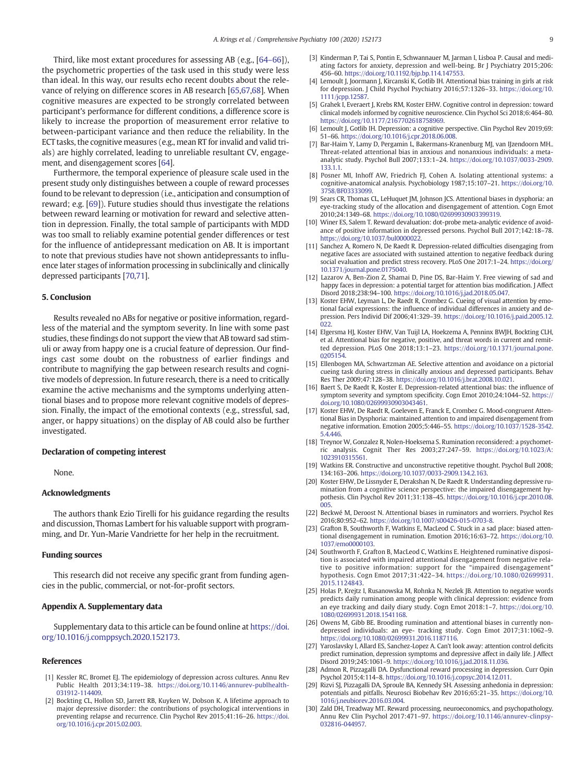<span id="page-8-0"></span>Third, like most extant procedures for assessing AB (e.g., [64–[66\]](#page-9-0)), the psychometric properties of the task used in this study were less than ideal. In this way, our results echo recent doubts about the relevance of relying on difference scores in AB research [[65](#page-9-0),[67,68\]](#page-9-0). When cognitive measures are expected to be strongly correlated between participant's performance for different conditions, a difference score is likely to increase the proportion of measurement error relative to between-participant variance and then reduce the reliability. In the ECT tasks, the cognitive measures (e.g., mean RT for invalid and valid trials) are highly correlated, leading to unreliable resultant CV, engagement, and disengagement scores [[64](#page-9-0)].

Furthermore, the temporal experience of pleasure scale used in the present study only distinguishes between a couple of reward processes found to be relevant to depression (i.e., anticipation and consumption of reward; e.g. [\[69](#page-9-0)]). Future studies should thus investigate the relations between reward learning or motivation for reward and selective attention in depression. Finally, the total sample of participants with MDD was too small to reliably examine potential gender differences or test for the influence of antidepressant medication on AB. It is important to note that previous studies have not shown antidepressants to influence later stages of information processing in subclinically and clinically depressed participants [\[70,71\]](#page-9-0).

#### 5. Conclusion

Results revealed no ABs for negative or positive information, regardless of the material and the symptom severity. In line with some past studies, these findings do not support the view that AB toward sad stimuli or away from happy one is a crucial feature of depression. Our findings cast some doubt on the robustness of earlier findings and contribute to magnifying the gap between research results and cognitive models of depression. In future research, there is a need to critically examine the active mechanisms and the symptoms underlying attentional biases and to propose more relevant cognitive models of depression. Finally, the impact of the emotional contexts (e.g., stressful, sad, anger, or happy situations) on the display of AB could also be further investigated.

#### Declaration of competing interest

None.

#### Acknowledgments

The authors thank Ezio Tirelli for his guidance regarding the results and discussion, Thomas Lambert for his valuable support with programming, and Dr. Yun-Marie Vandriette for her help in the recruitment.

#### Funding sources

This research did not receive any specific grant from funding agencies in the public, commercial, or not-for-profit sectors.

#### Appendix A. Supplementary data

Supplementary data to this article can be found online at [https://doi.](https://doi.org/10.1016/j.comppsych.2020.152173) [org/10.1016/j.comppsych.2020.152173.](https://doi.org/10.1016/j.comppsych.2020.152173)

#### References

- [1] Kessler RC, Bromet EJ. The epidemiology of depression across cultures. Annu Rev Public Health 2013;34:119–38. [https://doi.org/10.1146/annurev-publhealth-](https://doi.org/10.1146/annurev-publhealth-031912-114409)[031912-114409.](https://doi.org/10.1146/annurev-publhealth-031912-114409)
- [2] Bockting CL, Hollon SD, Jarrett RB, Kuyken W, Dobson K. A lifetime approach to major depressive disorder: the contributions of psychological interventions in preventing relapse and recurrence. Clin Psychol Rev 2015;41:16–26. [https://doi.](https://doi.org/10.1016/j.cpr.2015.02.003) [org/10.1016/j.cpr.2015.02.003](https://doi.org/10.1016/j.cpr.2015.02.003).
- [3] Kinderman P, Tai S, Pontin E, Schwannauer M, Jarman I, Lisboa P. Causal and mediating factors for anxiety, depression and well-being. Br J Psychiatry 2015;206: 456–60. <https://doi.org/10.1192/bjp.bp.114.147553>.
- Lemoult J, Joormann J, Kircanski K, Gotlib IH. Attentional bias training in girls at risk for depression. J Child Psychol Psychiatry 2016;57:1326–33. [https://doi.org/10.](https://doi.org/10.1111/jcpp.12587) [1111/jcpp.12587.](https://doi.org/10.1111/jcpp.12587)
- [5] Grahek I, Everaert J, Krebs RM, Koster EHW. Cognitive control in depression: toward clinical models informed by cognitive neuroscience. Clin Psychol Sci 2018;6:464–80. [https://doi.org/10.1177/2167702618758969.](https://doi.org/10.1177/2167702618758969)
- [6] Lemoult J, Gotlib IH. Depression: a cognitive perspective. Clin Psychol Rev 2019;69: 51–66. <https://doi.org/10.1016/j.cpr.2018.06.008>.
- [7] Bar-Haim Y, Lamy D, Pergamin L, Bakermans-Kranenburg MJ, van IJzendoorn MH.. Threat-related attentional bias in anxious and nonanxious individuals: a metaanalytic study. Psychol Bull 2007;133:1–24. [https://doi.org/10.1037/0033-2909.](https://doi.org/10.1037/0033-2909.133.1.1) [133.1.1.](https://doi.org/10.1037/0033-2909.133.1.1)
- [8] Posner MI, Inhoff AW, Friedrich FJ, Cohen A. Isolating attentional systems: a cognitive-anatomical analysis. Psychobiology 1987;15:107–21. [https://doi.org/10.](https://doi.org/10.3758/BF03333099) [3758/BF03333099](https://doi.org/10.3758/BF03333099).
- [9] Sears CR, Thomas CL, LeHuquet JM, Johnson JCS. Attentional biases in dysphoria: an eye-tracking study of the allocation and disengagement of attention. Cogn Emot 2010;24:1349–68. <https://doi.org/10.1080/02699930903399319>.
- [10] Winer ES, Salem T. Reward devaluation: dot-probe meta-analytic evidence of avoidance of positive information in depressed persons. Psychol Bull 2017;142:18–78. [https://doi.org/10.1037/bul0000022.](https://doi.org/10.1037/bul0000022)
- [11] Sanchez A, Romero N, De Raedt R. Depression-related difficulties disengaging from negative faces are associated with sustained attention to negative feedback during social evaluation and predict stress recovery. PLoS One 2017:1–24. [https://doi.org/](https://doi.org/10.1371/journal.pone.0175040) [10.1371/journal.pone.0175040](https://doi.org/10.1371/journal.pone.0175040).
- [12] Lazarov A, Ben-Zion Z, Shamai D, Pine DS, Bar-Haim Y. Free viewing of sad and happy faces in depression: a potential target for attention bias modification. J Affect Disord 2018;238:94–100. [https://doi.org/10.1016/j.jad.2018.05.047.](https://doi.org/10.1016/j.jad.2018.05.047)
- [13] Koster EHW, Leyman L, De Raedt R, Crombez G. Cueing of visual attention by emotional facial expressions: the influence of individual differences in anxiety and depression. Pers Individ Dif 2006;41:329–39. [https://doi.org/10.1016/j.paid.2005.12.](https://doi.org/10.1016/j.paid.2005.12.022)  $\overline{022}$
- [14] Elgersma HJ, Koster EHW, Van Tuijl LA, Hoekzema A, Penninx BWJH, Bockting CLH, et al. Attentional bias for negative, positive, and threat words in current and remitted depression. PLoS One 2018;13:1–23. [https://doi.org/10.1371/journal.pone.](https://doi.org/10.1371/journal.pone.0205154) [0205154](https://doi.org/10.1371/journal.pone.0205154).
- [15] Ellenbogen MA, Schwartzman AE. Selective attention and avoidance on a pictorial cueing task during stress in clinically anxious and depressed participants. Behav Res Ther 2009;47:128–38. <https://doi.org/10.1016/j.brat.2008.10.021>.
- [16] Baert S, De Raedt R, Koster E. Depression-related attentional bias: the influence of symptom severity and symptom specificity. Cogn Emot 2010;24:1044–52. [https://](https://doi.org/10.1080/02699930903043461) [doi.org/10.1080/02699930903043461.](https://doi.org/10.1080/02699930903043461)
- [17] Koster EHW, De Raedt R, Goeleven E, Franck E, Crombez G. Mood-congruent Attentional Bias in Dysphoria: maintained attention to and impaired disengagement from negative information. Emotion 2005;5:446–55. [https://doi.org/10.1037/1528-3542.](https://doi.org/10.1037/1528-3542.5.4.446) [5.4.446.](https://doi.org/10.1037/1528-3542.5.4.446)
- [18] Treynor W, Gonzalez R, Nolen-Hoeksema S. Rumination reconsidered: a psychometric analysis. Cognit Ther Res 2003;27:247–59. [https://doi.org/10.1023/A:](https://doi.org/10.1023/A:1023910315561) [1023910315561](https://doi.org/10.1023/A:1023910315561).
- [19] Watkins ER. Constructive and unconstructive repetitive thought. Psychol Bull 2008; 134:163–206. [https://doi.org/10.1037/0033-2909.134.2.163.](https://doi.org/10.1037/0033-2909.134.2.163)
- [20] Koster EHW, De Lissnyder E, Derakshan N, De Raedt R. Understanding depressive rumination from a cognitive science perspective: the impaired disengagement hypothesis. Clin Psychol Rev 2011;31:138–45. [https://doi.org/10.1016/j.cpr.2010.08.](https://doi.org/10.1016/j.cpr.2010.08.005) [005.](https://doi.org/10.1016/j.cpr.2010.08.005)
- [22] Beckwé M, Deroost N. Attentional biases in ruminators and worriers. Psychol Res 2016;80:952–62. [https://doi.org/10.1007/s00426-015-0703-8.](https://doi.org/10.1007/s00426-015-0703-8)
- [23] Grafton B, Southworth F, Watkins E, MacLeod C. Stuck in a sad place: biased attentional disengagement in rumination. Emotion 2016;16:63–72. [https://doi.org/10.](https://doi.org/10.1037/emo0000103) [1037/emo0000103.](https://doi.org/10.1037/emo0000103)
- [24] Southworth F, Grafton B, MacLeod C, Watkins E. Heightened ruminative disposition is associated with impaired attentional disengagement from negative relative to positive information: support for the "impaired disengagement" hypothesis. Cogn Emot 2017;31:422–34. [https://doi.org/10.1080/02699931.](https://doi.org/10.1080/02699931.2015.1124843) [2015.1124843.](https://doi.org/10.1080/02699931.2015.1124843)
- [25] Holas P, Krejtz I, Rusanowska M, Rohnka N, Nezlek JB. Attention to negative words predicts daily rumination among people with clinical depression: evidence from an eye tracking and daily diary study. Cogn Emot 2018:1–7. [https://doi.org/10.](https://doi.org/10.1080/02699931.2018.1541168) [1080/02699931.2018.1541168.](https://doi.org/10.1080/02699931.2018.1541168)
- [26] Owens M, Gibb BE. Brooding rumination and attentional biases in currently nondepressed individuals: an eye- tracking study. Cogn Emot 2017;31:1062–9. [https://doi.org/10.1080/02699931.2016.1187116.](https://doi.org/10.1080/02699931.2016.1187116)
- [27] Yaroslavsky I, Allard ES, Sanchez-Lopez A. Can't look away: attention control deficits predict rumination, depression symptoms and depressive affect in daily life. J Affect Disord 2019;245:1061–9. <https://doi.org/10.1016/j.jad.2018.11.036>.
- [28] Admon R, Pizzagalli DA. Dysfunctional reward processing in depression. Curr Opin Psychol 2015;4:114–8. [https://doi.org/10.1016/j.copsyc.2014.12.011.](https://doi.org/10.1016/j.copsyc.2014.12.011)
- [29] Rizvi SJ, Pizzagalli DA, Sproule BA, Kennedy SH. Assessing anhedonia in depression: potentials and pitfalls. Neurosci Biobehav Rev 2016;65:21–35. [https://doi.org/10.](https://doi.org/10.1016/j.neubiorev.2016.03.004) [1016/j.neubiorev.2016.03.004](https://doi.org/10.1016/j.neubiorev.2016.03.004).
- [30] Zald DH, Treadway MT. Reward processing, neuroeconomics, and psychopathology. Annu Rev Clin Psychol 2017:471–97. [https://doi.org/10.1146/annurev-clinpsy-](https://doi.org/10.1146/annurev-clinpsy-032816-044957)[032816-044957](https://doi.org/10.1146/annurev-clinpsy-032816-044957).